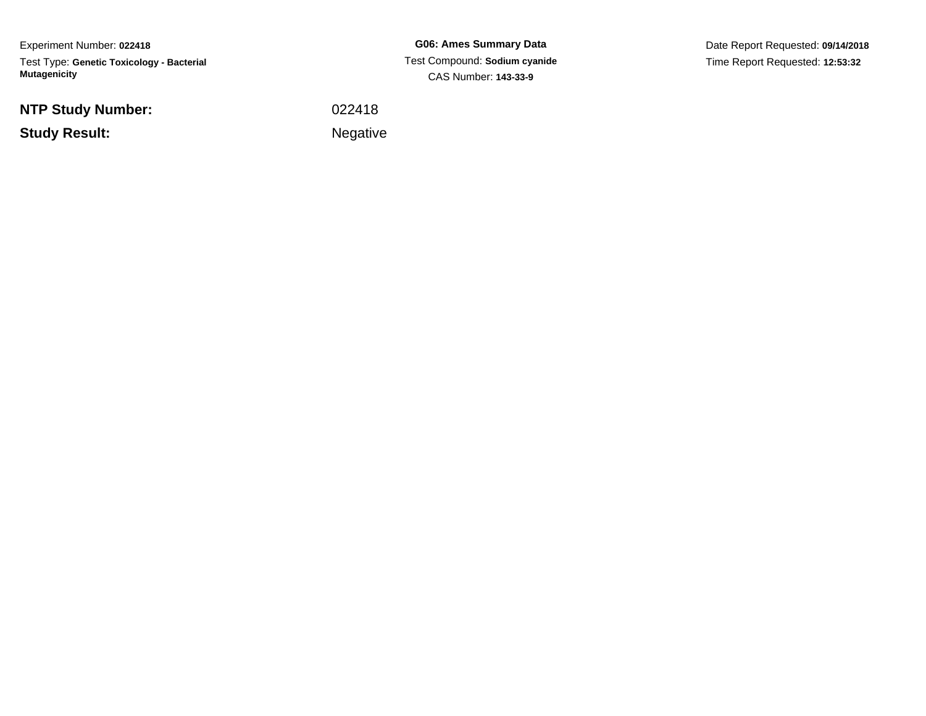Experiment Number: **022418**Test Type: **Genetic Toxicology - Bacterial Mutagenicity**

**NTP Study Number:**

**Study Result:**

**G06: Ames Summary Data** Test Compound: **Sodium cyanide**CAS Number: **143-33-9**

Date Report Requested: **09/14/2018**Time Report Requested: **12:53:32**

<sup>022418</sup>

Negative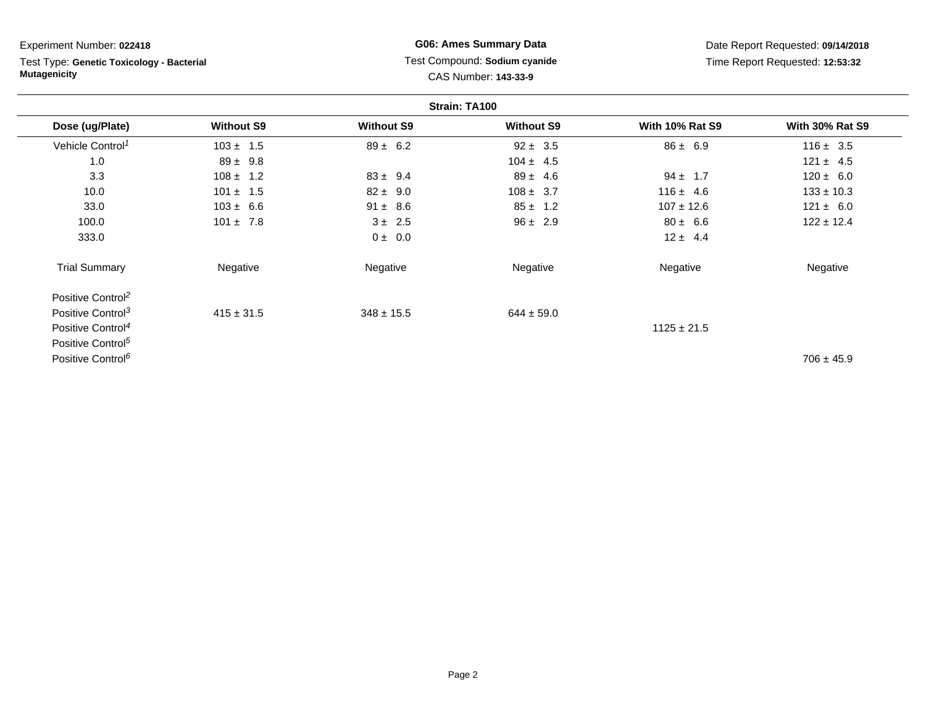| Experiment Number: 022418                                        |                   | <b>G06: Ames Summary Data</b>                         |                   | Date Report Requested: 09/14/2018 |                                 |  |  |
|------------------------------------------------------------------|-------------------|-------------------------------------------------------|-------------------|-----------------------------------|---------------------------------|--|--|
| Test Type: Genetic Toxicology - Bacterial<br><b>Mutagenicity</b> |                   | Test Compound: Sodium cyanide<br>CAS Number: 143-33-9 |                   |                                   | Time Report Requested: 12:53:32 |  |  |
|                                                                  |                   | Strain: TA100                                         |                   |                                   |                                 |  |  |
| Dose (ug/Plate)                                                  | <b>Without S9</b> | <b>Without S9</b>                                     | <b>Without S9</b> | <b>With 10% Rat S9</b>            | <b>With 30% Rat S9</b>          |  |  |
| Vehicle Control <sup>1</sup>                                     | $103 \pm 1.5$     | $89 \pm 6.2$                                          | $92 \pm 3.5$      | $86 \pm 6.9$                      | $116 \pm 3.5$                   |  |  |
| 1.0                                                              | $89 \pm 9.8$      |                                                       | $104 \pm 4.5$     |                                   | $121 \pm 4.5$                   |  |  |
| 3.3                                                              | $108 \pm 1.2$     | $83 \pm 9.4$                                          | $89 \pm 4.6$      | $94 \pm 1.7$                      | $120 \pm 6.0$                   |  |  |
| 10.0                                                             | $101 \pm 1.5$     | $82 \pm 9.0$                                          | $108 \pm 3.7$     | $116 \pm 4.6$                     | $133 \pm 10.3$                  |  |  |
| 33.0                                                             | $103 \pm 6.6$     | $91 \pm 8.6$                                          | $85 \pm 1.2$      | $107 \pm 12.6$                    | $121 \pm 6.0$                   |  |  |
| 100.0                                                            | $101 \pm 7.8$     | $3 \pm 2.5$                                           | $96 \pm 2.9$      | $80 \pm 6.6$                      | $122 \pm 12.4$                  |  |  |
| 333.0                                                            |                   | 0 ± 0.0                                               |                   | $12 \pm 4.4$                      |                                 |  |  |
| <b>Trial Summary</b>                                             | Negative          | Negative                                              | Negative          | Negative                          | Negative                        |  |  |
| Positive Control <sup>2</sup>                                    |                   |                                                       |                   |                                   |                                 |  |  |
| Positive Control <sup>3</sup>                                    | $415 \pm 31.5$    | $348 \pm 15.5$                                        | $644 \pm 59.0$    |                                   |                                 |  |  |
| Positive Control <sup>4</sup>                                    |                   |                                                       |                   | $1125 \pm 21.5$                   |                                 |  |  |
| Positive Control <sup>5</sup>                                    |                   |                                                       |                   |                                   |                                 |  |  |

Positive Control<sup>6</sup>

 $^{6}$  b and the set of the set of the set of the set of the set of the set of the set of the set of the 45.9  $\,$ 

and a  $\overline{\phantom{0}}$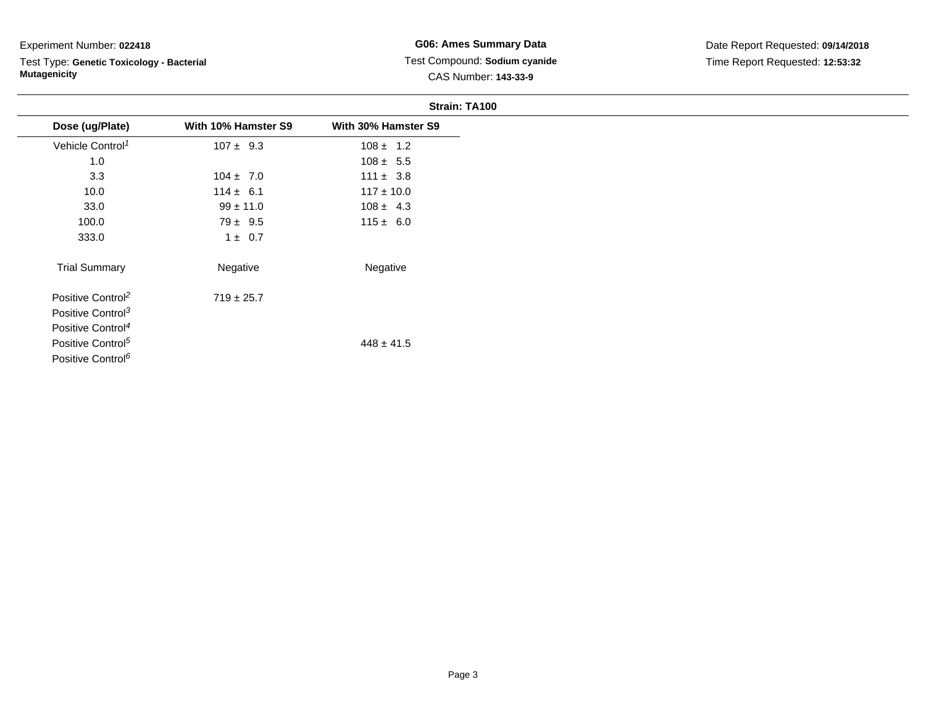Test Type: **Genetic Toxicology - Bacterial Mutagenicity**

### **G06: Ames Summary Data** Test Compound: **Sodium cyanide**CAS Number: **143-33-9**

|                               |                     | Strain: TA100       |
|-------------------------------|---------------------|---------------------|
| Dose (ug/Plate)               | With 10% Hamster S9 | With 30% Hamster S9 |
| Vehicle Control <sup>1</sup>  | $107 \pm 9.3$       | $108 \pm 1.2$       |
| 1.0                           |                     | $108 \pm 5.5$       |
| 3.3                           | $104 \pm 7.0$       | $111 \pm 3.8$       |
| 10.0                          | $114 \pm 6.1$       | $117 \pm 10.0$      |
| 33.0                          | $99 \pm 11.0$       | $108 \pm 4.3$       |
| 100.0                         | $79 \pm 9.5$        | $115 \pm 6.0$       |
| 333.0                         | $1 \pm 0.7$         |                     |
| <b>Trial Summary</b>          | Negative            | Negative            |
| Positive Control <sup>2</sup> | $719 \pm 25.7$      |                     |
| Positive Control <sup>3</sup> |                     |                     |
| Positive Control <sup>4</sup> |                     |                     |
| Positive Control <sup>5</sup> |                     | $448 \pm 41.5$      |
| Positive Control <sup>6</sup> |                     |                     |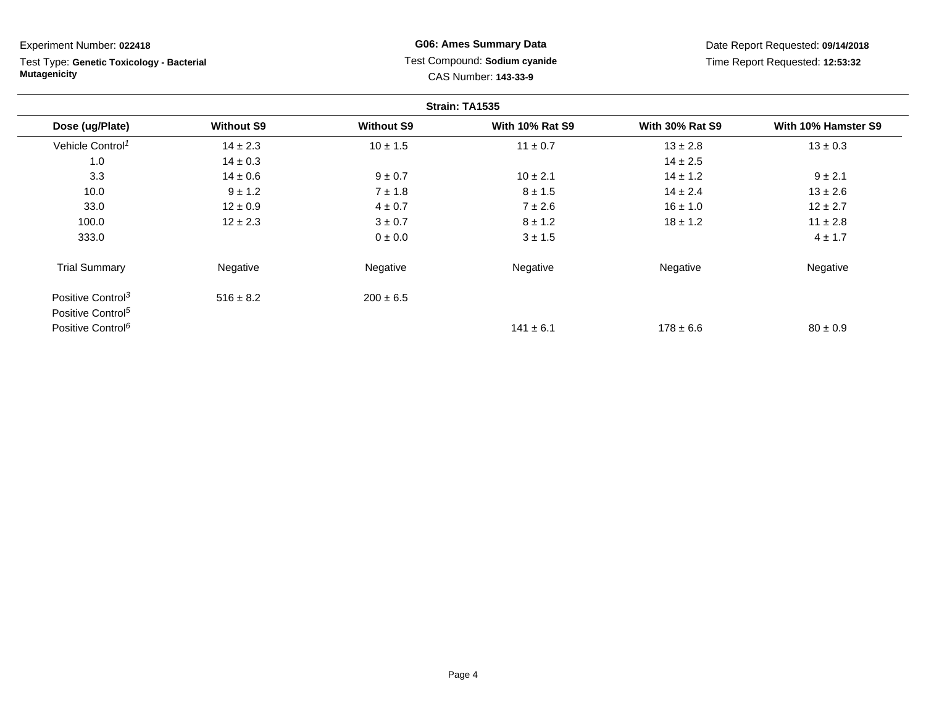Test Type: **Genetic Toxicology - Bacterial Mutagenicity**

**G06: Ames Summary Data** Test Compound: **Sodium cyanide**CAS Number: **143-33-9**

| Strain: TA1535                                                 |                   |                   |                        |                        |                     |  |
|----------------------------------------------------------------|-------------------|-------------------|------------------------|------------------------|---------------------|--|
| Dose (ug/Plate)                                                | <b>Without S9</b> | <b>Without S9</b> | <b>With 10% Rat S9</b> | <b>With 30% Rat S9</b> | With 10% Hamster S9 |  |
| Vehicle Control <sup>1</sup>                                   | $14 \pm 2.3$      | $10 \pm 1.5$      | $11 \pm 0.7$           | $13 \pm 2.8$           | $13 \pm 0.3$        |  |
| 1.0                                                            | $14 \pm 0.3$      |                   |                        | $14 \pm 2.5$           |                     |  |
| 3.3                                                            | $14 \pm 0.6$      | $9 \pm 0.7$       | $10 \pm 2.1$           | $14 \pm 1.2$           | $9 \pm 2.1$         |  |
| 10.0                                                           | $9 \pm 1.2$       | $7 \pm 1.8$       | $8 \pm 1.5$            | $14 \pm 2.4$           | $13 \pm 2.6$        |  |
| 33.0                                                           | $12 \pm 0.9$      | $4 \pm 0.7$       | $7 \pm 2.6$            | $16 \pm 1.0$           | $12 \pm 2.7$        |  |
| 100.0                                                          | $12 \pm 2.3$      | $3 \pm 0.7$       | $8 \pm 1.2$            | $18 \pm 1.2$           | $11 \pm 2.8$        |  |
| 333.0                                                          |                   | 0 ± 0.0           | $3 \pm 1.5$            |                        | $4 \pm 1.7$         |  |
| <b>Trial Summary</b>                                           | Negative          | Negative          | Negative               | Negative               | Negative            |  |
| Positive Control <sup>3</sup><br>Positive Control <sup>5</sup> | $516 \pm 8.2$     | $200 \pm 6.5$     |                        |                        |                     |  |
| Positive Control <sup>6</sup>                                  |                   |                   | $141 \pm 6.1$          | $178 \pm 6.6$          | $80 \pm 0.9$        |  |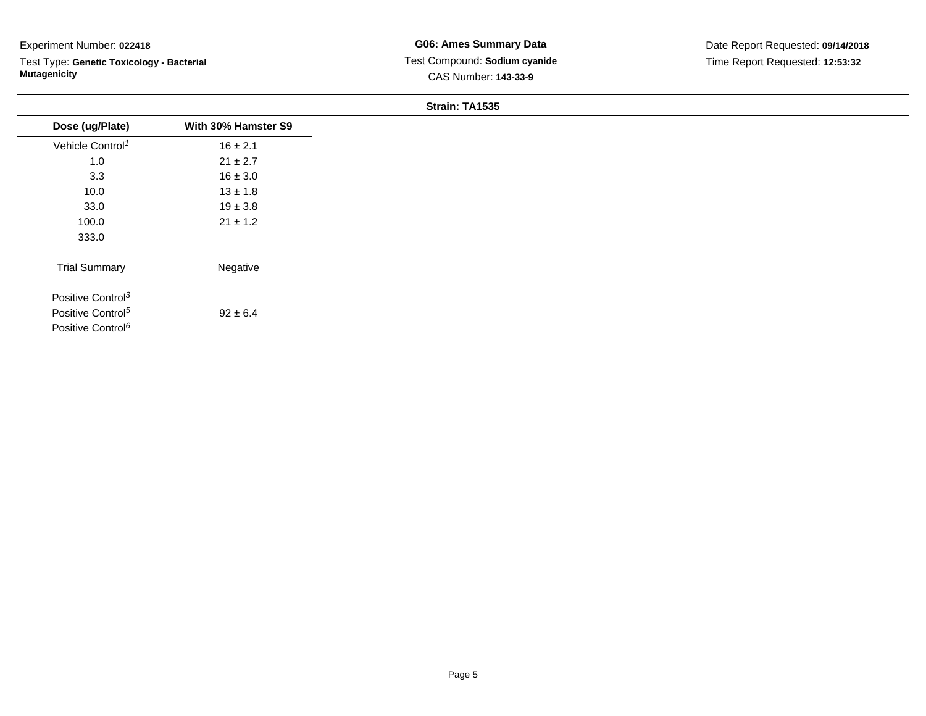Test Type: **Genetic Toxicology - Bacterial Mutagenicity**

#### **Strain: TA1535**

| Dose (ug/Plate)               | With 30% Hamster S9 |
|-------------------------------|---------------------|
| Vehicle Control <sup>1</sup>  | $16 \pm 2.1$        |
| 1.0                           | $21 \pm 2.7$        |
| 3.3                           | $16 \pm 3.0$        |
| 10.0                          | $13 \pm 1.8$        |
| 33.0                          | $19 \pm 3.8$        |
| 100.0                         | $21 \pm 1.2$        |
| 333.0                         |                     |
| <b>Trial Summary</b>          | Negative            |
| Positive Control <sup>3</sup> |                     |
| Positive Control <sup>5</sup> | $92 \pm 6.4$        |
| Positive Control <sup>6</sup> |                     |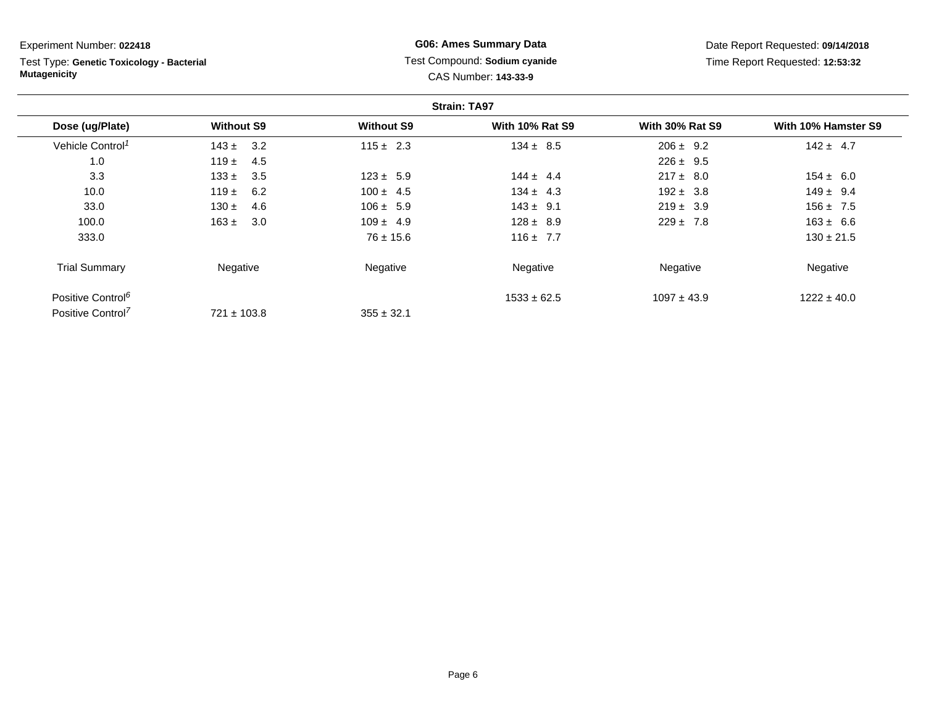Test Type: **Genetic Toxicology - Bacterial Mutagenicity**

# **G06: Ames Summary Data** Test Compound: **Sodium cyanide**CAS Number: **143-33-9**

| <b>Strain: TA97</b>           |                   |                   |                        |                        |                     |
|-------------------------------|-------------------|-------------------|------------------------|------------------------|---------------------|
| Dose (ug/Plate)               | <b>Without S9</b> | <b>Without S9</b> | <b>With 10% Rat S9</b> | <b>With 30% Rat S9</b> | With 10% Hamster S9 |
| Vehicle Control <sup>1</sup>  | 3.2<br>$143 \pm$  | $115 \pm 2.3$     | $134 \pm 8.5$          | $206 \pm 9.2$          | $142 \pm 4.7$       |
| 1.0                           | 119 $\pm$<br>4.5  |                   |                        | $226 \pm 9.5$          |                     |
| 3.3                           | $133 \pm$<br>3.5  | $123 \pm 5.9$     | $144 \pm 4.4$          | $217 \pm 8.0$          | $154 \pm 6.0$       |
| 10.0                          | 119 $\pm$<br>6.2  | $100 \pm 4.5$     | $134 \pm 4.3$          | $192 \pm 3.8$          | $149 \pm 9.4$       |
| 33.0                          | 4.6<br>$130 \pm$  | $106 \pm 5.9$     | $143 \pm 9.1$          | $219 \pm 3.9$          | $156 \pm 7.5$       |
| 100.0                         | $163 \pm$<br>3.0  | $109 \pm 4.9$     | $128 \pm 8.9$          | $229 \pm 7.8$          | $163 \pm 6.6$       |
| 333.0                         |                   | $76 \pm 15.6$     | $116 \pm 7.7$          |                        | $130 \pm 21.5$      |
| <b>Trial Summary</b>          | Negative          | Negative          | Negative               | Negative               | Negative            |
| Positive Control <sup>6</sup> |                   |                   | $1533 \pm 62.5$        | $1097 \pm 43.9$        | $1222 \pm 40.0$     |
| Positive Control <sup>7</sup> | $721 \pm 103.8$   | $355 \pm 32.1$    |                        |                        |                     |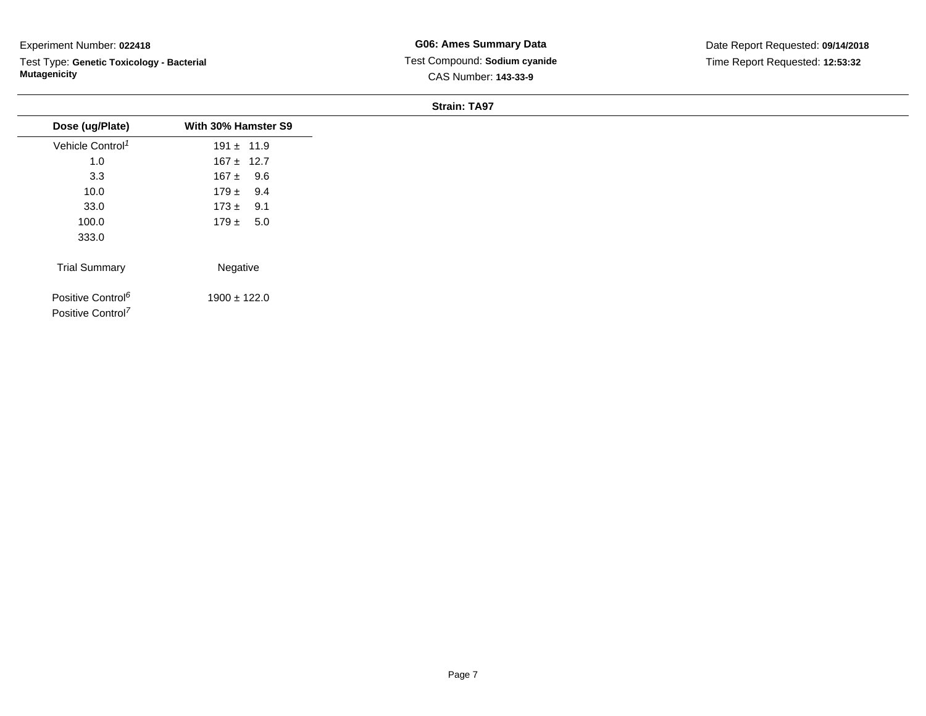Test Type: **Genetic Toxicology - Bacterial Mutagenicity**

**Strain: TA97**

| Dose (ug/Plate)                                                | With 30% Hamster S9 |
|----------------------------------------------------------------|---------------------|
| Vehicle Control <sup>1</sup>                                   | $191 \pm 11.9$      |
| $1.0$                                                          | $167 \pm 12.7$      |
| 3.3                                                            | $167 \pm 9.6$       |
| 10.0                                                           | $179 \pm 9.4$       |
| 33.0                                                           | $173 \pm 9.1$       |
| 100.0                                                          | $179 \pm 5.0$       |
| 333.0                                                          |                     |
| <b>Trial Summary</b>                                           | Negative            |
| Positive Control <sup>6</sup><br>Positive Control <sup>7</sup> | $1900 \pm 122.0$    |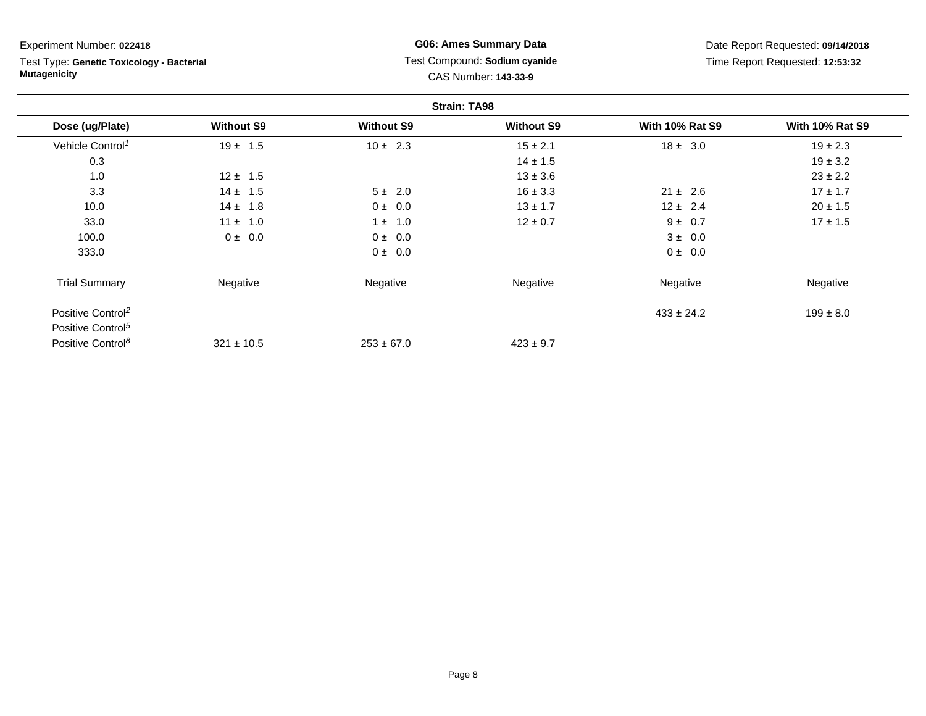Test Type: **Genetic Toxicology - Bacterial Mutagenicity**

### **G06: Ames Summary Data** Test Compound: **Sodium cyanide**CAS Number: **143-33-9**

| <b>Strain: TA98</b>           |                   |                   |                   |                        |                        |
|-------------------------------|-------------------|-------------------|-------------------|------------------------|------------------------|
| Dose (ug/Plate)               | <b>Without S9</b> | <b>Without S9</b> | <b>Without S9</b> | <b>With 10% Rat S9</b> | <b>With 10% Rat S9</b> |
| Vehicle Control <sup>1</sup>  | $19 \pm 1.5$      | $10 \pm 2.3$      | $15 \pm 2.1$      | $18 \pm 3.0$           | $19 \pm 2.3$           |
| 0.3                           |                   |                   | $14 \pm 1.5$      |                        | $19 \pm 3.2$           |
| 1.0                           | $12 \pm 1.5$      |                   | $13 \pm 3.6$      |                        | $23 \pm 2.2$           |
| 3.3                           | $14 \pm 1.5$      | $5 \pm 2.0$       | $16 \pm 3.3$      | $21 \pm 2.6$           | $17 \pm 1.7$           |
| 10.0                          | $14 \pm 1.8$      | $0 \pm 0.0$       | $13 \pm 1.7$      | $12 \pm 2.4$           | $20 \pm 1.5$           |
| 33.0                          | $11 \pm 1.0$      | $1 \pm 1.0$       | $12 \pm 0.7$      | $9 \pm 0.7$            | $17 \pm 1.5$           |
| 100.0                         | $0 \pm 0.0$       | $0 \pm 0.0$       |                   | $3 \pm 0.0$            |                        |
| 333.0                         |                   | $0 \pm 0.0$       |                   | 0 ± 0.0                |                        |
| <b>Trial Summary</b>          | Negative          | Negative          | Negative          | Negative               | Negative               |
| Positive Control <sup>2</sup> |                   |                   |                   | $433 \pm 24.2$         | $199 \pm 8.0$          |
| Positive Control <sup>5</sup> |                   |                   |                   |                        |                        |
| Positive Control <sup>8</sup> | $321 \pm 10.5$    | $253 \pm 67.0$    | $423 \pm 9.7$     |                        |                        |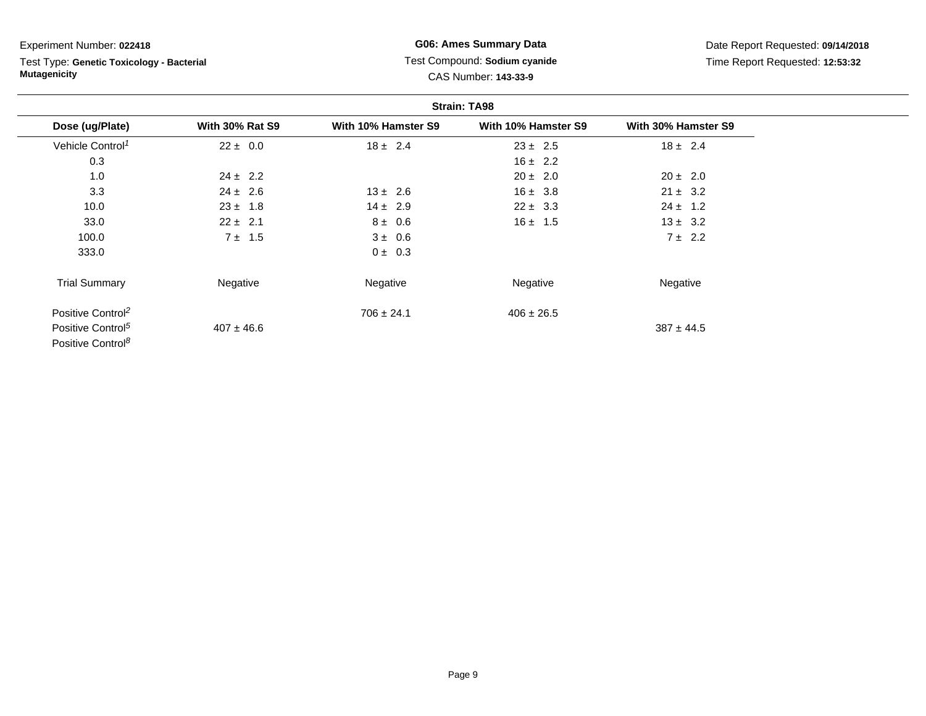Test Type: **Genetic Toxicology - Bacterial Mutagenicity**

### **G06: Ames Summary Data** Test Compound: **Sodium cyanide**CAS Number: **143-33-9**

|                               |                        | <b>Strain: TA98</b> |                     |                     |  |  |
|-------------------------------|------------------------|---------------------|---------------------|---------------------|--|--|
| Dose (ug/Plate)               | <b>With 30% Rat S9</b> | With 10% Hamster S9 | With 10% Hamster S9 | With 30% Hamster S9 |  |  |
| Vehicle Control <sup>1</sup>  | $22 \pm 0.0$           | $18 \pm 2.4$        | $23 \pm 2.5$        | $18 \pm 2.4$        |  |  |
| 0.3                           |                        |                     | $16 \pm 2.2$        |                     |  |  |
| 1.0                           | $24 \pm 2.2$           |                     | $20 \pm 2.0$        | $20 \pm 2.0$        |  |  |
| 3.3                           | $24 \pm 2.6$           | $13 \pm 2.6$        | $16 \pm 3.8$        | $21 \pm 3.2$        |  |  |
| 10.0                          | $23 \pm 1.8$           | $14 \pm 2.9$        | $22 \pm 3.3$        | $24 \pm 1.2$        |  |  |
| 33.0                          | $22 \pm 2.1$           | $8 \pm 0.6$         | $16 \pm 1.5$        | $13 \pm 3.2$        |  |  |
| 100.0                         | $7 \pm 1.5$            | $3 \pm 0.6$         |                     | $7 \pm 2.2$         |  |  |
| 333.0                         |                        | $0 \pm 0.3$         |                     |                     |  |  |
| <b>Trial Summary</b>          | Negative               | Negative            | Negative            | Negative            |  |  |
| Positive Control <sup>2</sup> |                        | $706 \pm 24.1$      | $406 \pm 26.5$      |                     |  |  |
| Positive Control <sup>5</sup> | $407 \pm 46.6$         |                     |                     | $387 \pm 44.5$      |  |  |
| Positive Control <sup>8</sup> |                        |                     |                     |                     |  |  |